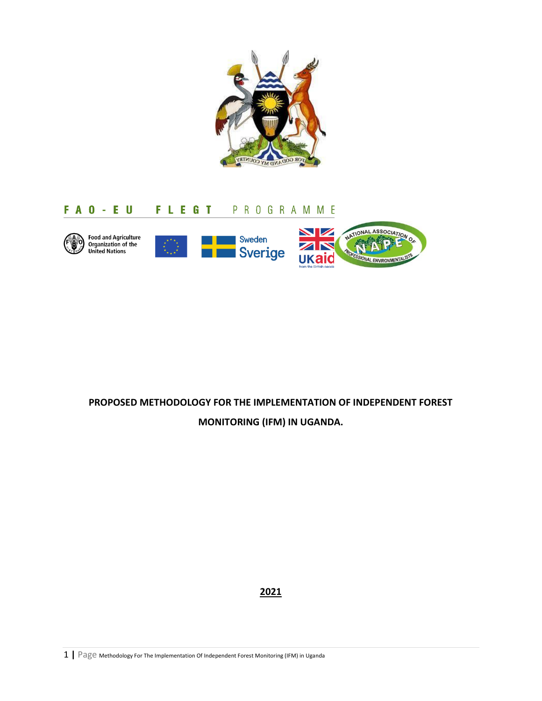

# FAO-EU FLEGT PROGRAMME



# **PROPOSED METHODOLOGY FOR THE IMPLEMENTATION OF INDEPENDENT FOREST**

**MONITORING (IFM) IN UGANDA.**

**2021**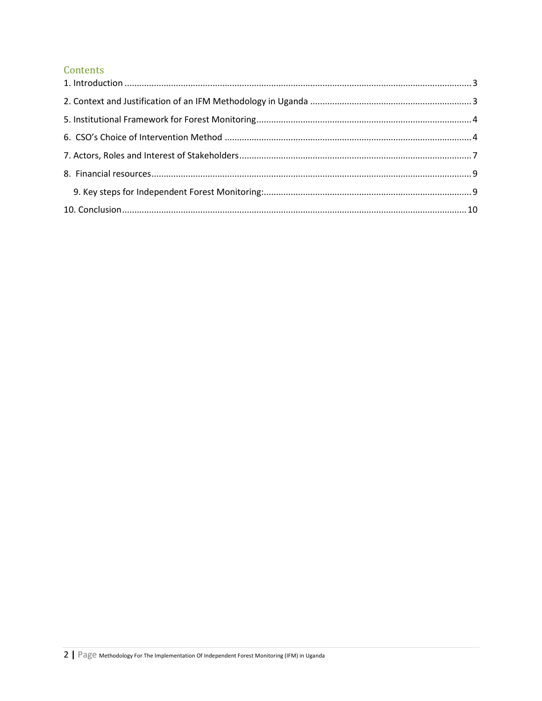# Contents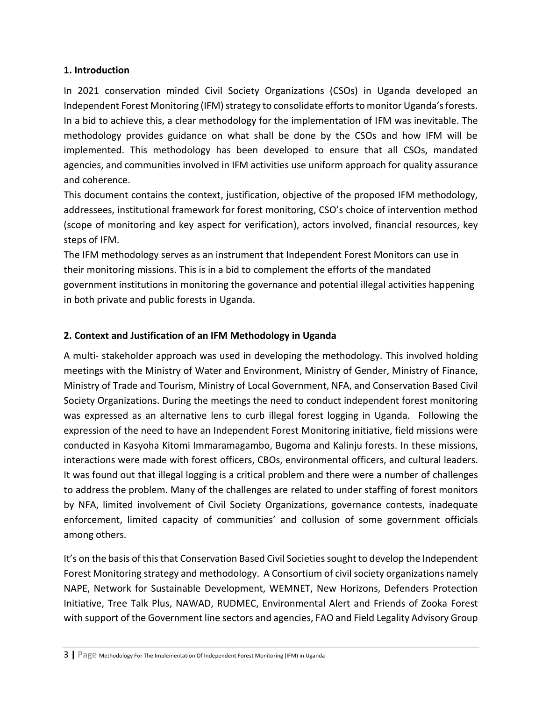#### <span id="page-2-0"></span>**1. Introduction**

In 2021 conservation minded Civil Society Organizations (CSOs) in Uganda developed an Independent Forest Monitoring (IFM) strategy to consolidate efforts to monitor Uganda's forests. In a bid to achieve this, a clear methodology for the implementation of IFM was inevitable. The methodology provides guidance on what shall be done by the CSOs and how IFM will be implemented. This methodology has been developed to ensure that all CSOs, mandated agencies, and communities involved in IFM activities use uniform approach for quality assurance and coherence.

This document contains the context, justification, objective of the proposed IFM methodology, addressees, institutional framework for forest monitoring, CSO's choice of intervention method (scope of monitoring and key aspect for verification), actors involved, financial resources, key steps of IFM.

The IFM methodology serves as an instrument that Independent Forest Monitors can use in their monitoring missions. This is in a bid to complement the efforts of the mandated government institutions in monitoring the governance and potential illegal activities happening in both private and public forests in Uganda.

#### <span id="page-2-1"></span>**2. Context and Justification of an IFM Methodology in Uganda**

A multi- stakeholder approach was used in developing the methodology. This involved holding meetings with the Ministry of Water and Environment, Ministry of Gender, Ministry of Finance, Ministry of Trade and Tourism, Ministry of Local Government, NFA, and Conservation Based Civil Society Organizations. During the meetings the need to conduct independent forest monitoring was expressed as an alternative lens to curb illegal forest logging in Uganda. Following the expression of the need to have an Independent Forest Monitoring initiative, field missions were conducted in Kasyoha Kitomi Immaramagambo, Bugoma and Kalinju forests. In these missions, interactions were made with forest officers, CBOs, environmental officers, and cultural leaders. It was found out that illegal logging is a critical problem and there were a number of challenges to address the problem. Many of the challenges are related to under staffing of forest monitors by NFA, limited involvement of Civil Society Organizations, governance contests, inadequate enforcement, limited capacity of communities' and collusion of some government officials among others.

It's on the basis of this that Conservation Based Civil Societies sought to develop the Independent Forest Monitoring strategy and methodology. A Consortium of civil society organizations namely NAPE, Network for Sustainable Development, WEMNET, New Horizons, Defenders Protection Initiative, Tree Talk Plus, NAWAD, RUDMEC, Environmental Alert and Friends of Zooka Forest with support of the Government line sectors and agencies, FAO and Field Legality Advisory Group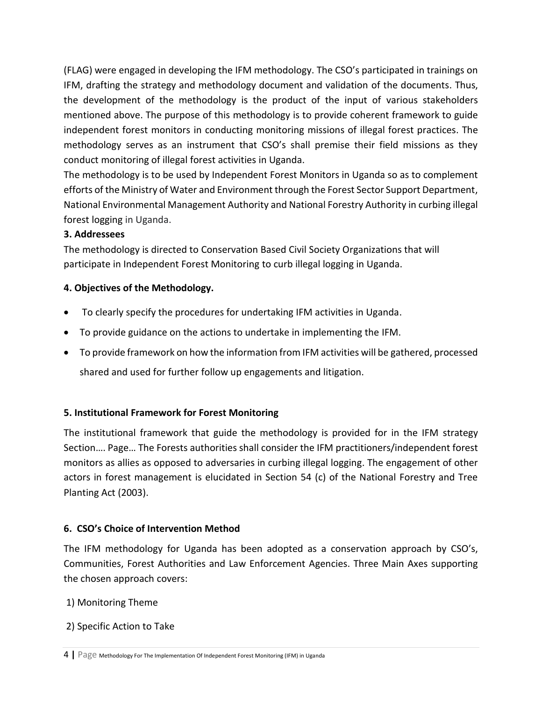(FLAG) were engaged in developing the IFM methodology. The CSO's participated in trainings on IFM, drafting the strategy and methodology document and validation of the documents. Thus, the development of the methodology is the product of the input of various stakeholders mentioned above. The purpose of this methodology is to provide coherent framework to guide independent forest monitors in conducting monitoring missions of illegal forest practices. The methodology serves as an instrument that CSO's shall premise their field missions as they conduct monitoring of illegal forest activities in Uganda.

The methodology is to be used by Independent Forest Monitors in Uganda so as to complement efforts of the Ministry of Water and Environment through the Forest Sector Support Department, National Environmental Management Authority and National Forestry Authority in curbing illegal forest logging in Uganda.

#### **3. Addressees**

The methodology is directed to Conservation Based Civil Society Organizations that will participate in Independent Forest Monitoring to curb illegal logging in Uganda.

# **4. Objectives of the Methodology.**

- To clearly specify the procedures for undertaking IFM activities in Uganda.
- To provide guidance on the actions to undertake in implementing the IFM.
- To provide framework on how the information from IFM activities will be gathered, processed shared and used for further follow up engagements and litigation.

#### <span id="page-3-0"></span>**5. Institutional Framework for Forest Monitoring**

The institutional framework that guide the methodology is provided for in the IFM strategy Section…. Page… The Forests authorities shall consider the IFM practitioners/independent forest monitors as allies as opposed to adversaries in curbing illegal logging. The engagement of other actors in forest management is elucidated in Section 54 (c) of the National Forestry and Tree Planting Act (2003).

# <span id="page-3-1"></span>**6. CSO's Choice of Intervention Method**

The IFM methodology for Uganda has been adopted as a conservation approach by CSO's, Communities, Forest Authorities and Law Enforcement Agencies. Three Main Axes supporting the chosen approach covers:

#### 1) Monitoring Theme

2) Specific Action to Take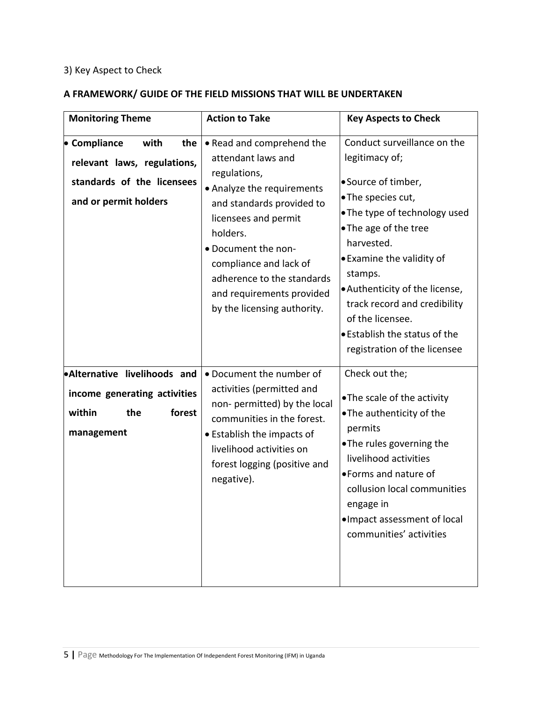# 3) Key Aspect to Check

#### **A FRAMEWORK/ GUIDE OF THE FIELD MISSIONS THAT WILL BE UNDERTAKEN**

| <b>Monitoring Theme</b>                                                                                           | <b>Action to Take</b>                                                                                                                                                                                                                                                                                     | <b>Key Aspects to Check</b>                                                                                                                                                                                                                                                                                                                                             |
|-------------------------------------------------------------------------------------------------------------------|-----------------------------------------------------------------------------------------------------------------------------------------------------------------------------------------------------------------------------------------------------------------------------------------------------------|-------------------------------------------------------------------------------------------------------------------------------------------------------------------------------------------------------------------------------------------------------------------------------------------------------------------------------------------------------------------------|
| • Compliance<br>with<br>the<br>relevant laws, regulations,<br>standards of the licensees<br>and or permit holders | • Read and comprehend the<br>attendant laws and<br>regulations,<br>• Analyze the requirements<br>and standards provided to<br>licensees and permit<br>holders.<br>• Document the non-<br>compliance and lack of<br>adherence to the standards<br>and requirements provided<br>by the licensing authority. | Conduct surveillance on the<br>legitimacy of;<br>• Source of timber,<br>•The species cut,<br>• The type of technology used<br>• The age of the tree<br>harvested.<br>• Examine the validity of<br>stamps.<br>• Authenticity of the license,<br>track record and credibility<br>of the licensee.<br><b>.</b> Establish the status of the<br>registration of the licensee |
| Alternative livelihoods and<br>income generating activities<br>within<br>forest<br>the<br>management              | • Document the number of<br>activities (permitted and<br>non- permitted) by the local<br>communities in the forest.<br>• Establish the impacts of<br>livelihood activities on<br>forest logging (positive and<br>negative).                                                                               | Check out the;<br>•The scale of the activity<br>•The authenticity of the<br>permits<br>•The rules governing the<br>livelihood activities<br>• Forms and nature of<br>collusion local communities<br>engage in<br>. Impact assessment of local<br>communities' activities                                                                                                |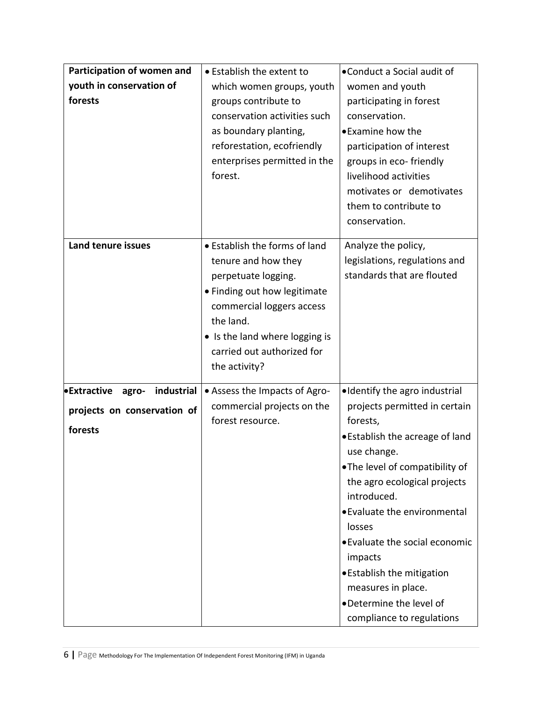| Participation of women and                | • Establish the extent to      | •Conduct a Social audit of             |
|-------------------------------------------|--------------------------------|----------------------------------------|
| youth in conservation of                  | which women groups, youth      | women and youth                        |
| forests                                   | groups contribute to           | participating in forest                |
|                                           | conservation activities such   | conservation.                          |
|                                           | as boundary planting,          | • Examine how the                      |
|                                           | reforestation, ecofriendly     | participation of interest              |
|                                           | enterprises permitted in the   | groups in eco-friendly                 |
|                                           | forest.                        | livelihood activities                  |
|                                           |                                | motivates or demotivates               |
|                                           |                                | them to contribute to                  |
|                                           |                                | conservation.                          |
| Land tenure issues                        | • Establish the forms of land  | Analyze the policy,                    |
|                                           | tenure and how they            | legislations, regulations and          |
|                                           | perpetuate logging.            | standards that are flouted             |
|                                           | • Finding out how legitimate   |                                        |
|                                           | commercial loggers access      |                                        |
|                                           | the land.                      |                                        |
|                                           | • Is the land where logging is |                                        |
|                                           | carried out authorized for     |                                        |
|                                           | the activity?                  |                                        |
|                                           |                                |                                        |
| <b>•Extractive</b><br>industrial<br>agro- | • Assess the Impacts of Agro-  | •Identify the agro industrial          |
| projects on conservation of               | commercial projects on the     | projects permitted in certain          |
| forests                                   | forest resource.               | forests,                               |
|                                           |                                | • Establish the acreage of land        |
|                                           |                                | use change.                            |
|                                           |                                | •The level of compatibility of         |
|                                           |                                | the agro ecological projects           |
|                                           |                                | introduced.                            |
|                                           |                                | • Evaluate the environmental<br>losses |
|                                           |                                | • Evaluate the social economic         |
|                                           |                                | impacts                                |
|                                           |                                | • Establish the mitigation             |
|                                           |                                | measures in place.                     |
|                                           |                                | •Determine the level of                |
|                                           |                                | compliance to regulations              |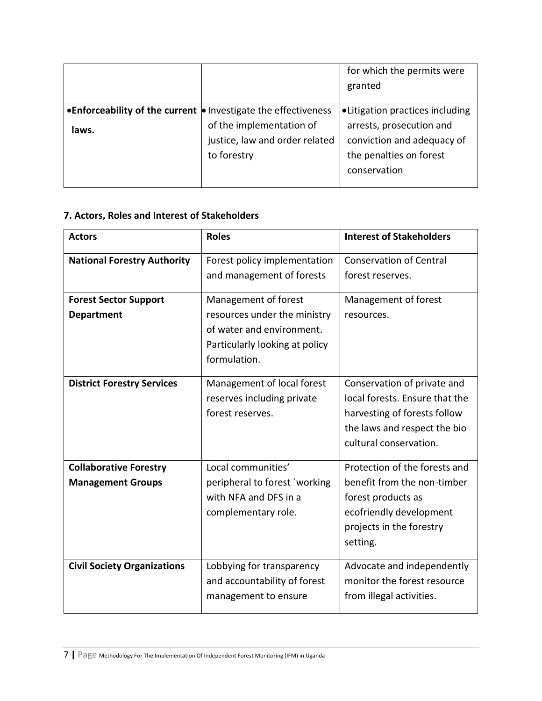|                                                                 |                                | for which the permits were       |
|-----------------------------------------------------------------|--------------------------------|----------------------------------|
|                                                                 |                                | granted                          |
| • Enforceability of the current • Investigate the effectiveness |                                | • Litigation practices including |
| laws.                                                           | of the implementation of       | arrests, prosecution and         |
|                                                                 | justice, law and order related | conviction and adequacy of       |
|                                                                 | to forestry                    | the penalties on forest          |
|                                                                 |                                | conservation                     |
|                                                                 |                                |                                  |

# <span id="page-6-0"></span>**7. Actors, Roles and Interest of Stakeholders**

| <b>Actors</b>                                             | <b>Roles</b>                                                                                                                        | <b>Interest of Stakeholders</b>                                                                                                                         |
|-----------------------------------------------------------|-------------------------------------------------------------------------------------------------------------------------------------|---------------------------------------------------------------------------------------------------------------------------------------------------------|
| <b>National Forestry Authority</b>                        | Forest policy implementation<br>and management of forests                                                                           | <b>Conservation of Central</b><br>forest reserves.                                                                                                      |
| <b>Forest Sector Support</b><br><b>Department</b>         | Management of forest<br>resources under the ministry<br>of water and environment.<br>Particularly looking at policy<br>formulation. | Management of forest<br>resources.                                                                                                                      |
| <b>District Forestry Services</b>                         | Management of local forest<br>reserves including private<br>forest reserves.                                                        | Conservation of private and<br>local forests. Ensure that the<br>harvesting of forests follow<br>the laws and respect the bio<br>cultural conservation. |
| <b>Collaborative Forestry</b><br><b>Management Groups</b> | Local communities'<br>peripheral to forest `working<br>with NFA and DFS in a<br>complementary role.                                 | Protection of the forests and<br>benefit from the non-timber<br>forest products as<br>ecofriendly development<br>projects in the forestry<br>setting.   |
| <b>Civil Society Organizations</b>                        | Lobbying for transparency<br>and accountability of forest<br>management to ensure                                                   | Advocate and independently<br>monitor the forest resource<br>from illegal activities.                                                                   |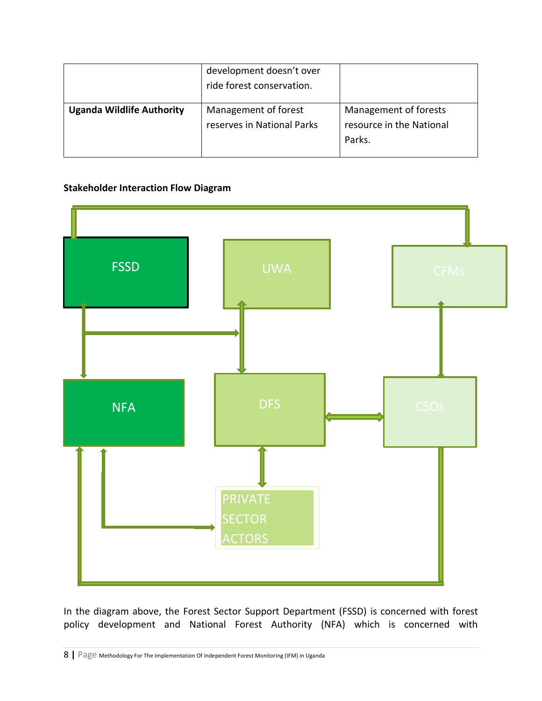|                                  | development doesn't over<br>ride forest conservation. |                                                             |
|----------------------------------|-------------------------------------------------------|-------------------------------------------------------------|
| <b>Uganda Wildlife Authority</b> | Management of forest<br>reserves in National Parks    | Management of forests<br>resource in the National<br>Parks. |

#### **Stakeholder Interaction Flow Diagram**



In the diagram above, the Forest Sector Support Department (FSSD) is concerned with forest policy development and National Forest Authority (NFA) which is concerned with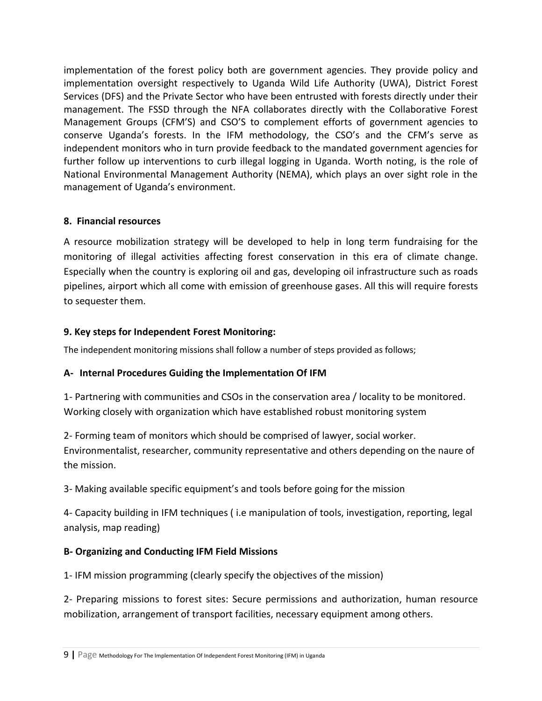implementation of the forest policy both are government agencies. They provide policy and implementation oversight respectively to Uganda Wild Life Authority (UWA), District Forest Services (DFS) and the Private Sector who have been entrusted with forests directly under their management. The FSSD through the NFA collaborates directly with the Collaborative Forest Management Groups (CFM'S) and CSO'S to complement efforts of government agencies to conserve Uganda's forests. In the IFM methodology, the CSO's and the CFM's serve as independent monitors who in turn provide feedback to the mandated government agencies for further follow up interventions to curb illegal logging in Uganda. Worth noting, is the role of National Environmental Management Authority (NEMA), which plays an over sight role in the management of Uganda's environment.

#### <span id="page-8-0"></span>**8. Financial resources**

A resource mobilization strategy will be developed to help in long term fundraising for the monitoring of illegal activities affecting forest conservation in this era of climate change. Especially when the country is exploring oil and gas, developing oil infrastructure such as roads pipelines, airport which all come with emission of greenhouse gases. All this will require forests to sequester them.

# <span id="page-8-1"></span>**9. Key steps for Independent Forest Monitoring:**

The independent monitoring missions shall follow a number of steps provided as follows;

# **A- Internal Procedures Guiding the Implementation Of IFM**

1- Partnering with communities and CSOs in the conservation area / locality to be monitored. Working closely with organization which have established robust monitoring system

2- Forming team of monitors which should be comprised of lawyer, social worker. Environmentalist, researcher, community representative and others depending on the naure of the mission.

3- Making available specific equipment's and tools before going for the mission

4- Capacity building in IFM techniques ( i.e manipulation of tools, investigation, reporting, legal analysis, map reading)

# **B- Organizing and Conducting IFM Field Missions**

1- IFM mission programming (clearly specify the objectives of the mission)

2- Preparing missions to forest sites: Secure permissions and authorization, human resource mobilization, arrangement of transport facilities, necessary equipment among others.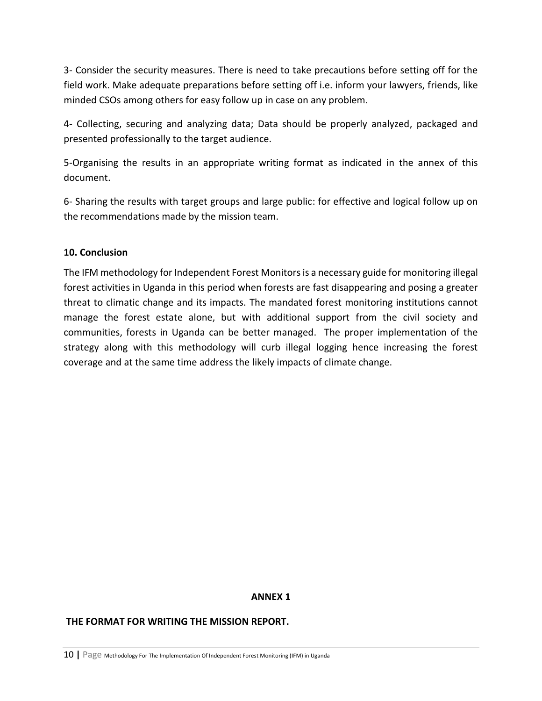3- Consider the security measures. There is need to take precautions before setting off for the field work. Make adequate preparations before setting off i.e. inform your lawyers, friends, like minded CSOs among others for easy follow up in case on any problem.

4- Collecting, securing and analyzing data; Data should be properly analyzed, packaged and presented professionally to the target audience.

5-Organising the results in an appropriate writing format as indicated in the annex of this document.

6- Sharing the results with target groups and large public: for effective and logical follow up on the recommendations made by the mission team.

#### <span id="page-9-0"></span>**10. Conclusion**

The IFM methodology for Independent Forest Monitors is a necessary guide for monitoring illegal forest activities in Uganda in this period when forests are fast disappearing and posing a greater threat to climatic change and its impacts. The mandated forest monitoring institutions cannot manage the forest estate alone, but with additional support from the civil society and communities, forests in Uganda can be better managed. The proper implementation of the strategy along with this methodology will curb illegal logging hence increasing the forest coverage and at the same time address the likely impacts of climate change.

#### **ANNEX 1**

#### **THE FORMAT FOR WRITING THE MISSION REPORT.**